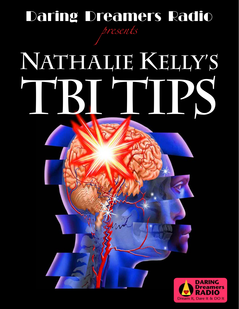# Daring Dreamers Radio *presents*

# **RUIPS Nathalie Kelly's**

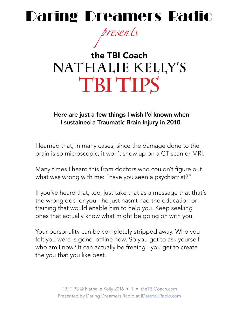# Daring Dreamers Radio

*presents*

# the TBI Coach **NATHALIE KELLY'S TBI TIPS**

Here are just a few things I wish I'd known when I sustained a Traumatic Brain Injury in 2010.

I learned that, in many cases, since the damage done to the brain is so microscopic, it won't show up on a CT scan or MRI.

Many times I heard this from doctors who couldn't figure out what was wrong with me: "have you seen a psychiatrist?"

If you've heard that, too, just take that as a message that that's the wrong doc for you - he just hasn't had the education or training that would enable him to help you. Keep seeking ones that actually know what might be going on with you.

Your personality can be completely stripped away. Who you felt you were is gone, offline now. So you get to ask yourself, who am I now? It can actually be freeing - you get to create the you that you like best.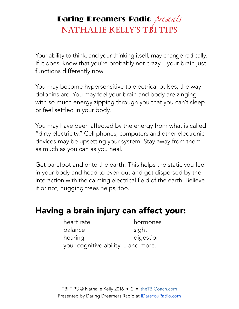Your ability to think, and your thinking itself, may change radically. If it does, know that you're probably not crazy—your brain just functions differently now.

You may become hypersensitive to electrical pulses, the way dolphins are. You may feel your brain and body are zinging with so much energy zipping through you that you can't sleep or feel settled in your body.

You may have been affected by the energy from what is called "dirty electricity." Cell phones, computers and other electronic devices may be upsetting your system. Stay away from them as much as you can as you heal.

Get barefoot and onto the earth! This helps the static you feel in your body and head to even out and get dispersed by the interaction with the calming electrical field of the earth. Believe it or not, hugging trees helps, too.

#### Having a brain injury can affect your:

| heart rate                        | hormones  |
|-----------------------------------|-----------|
| balance                           | sight     |
| hearing                           | digestion |
| your cognitive ability  and more. |           |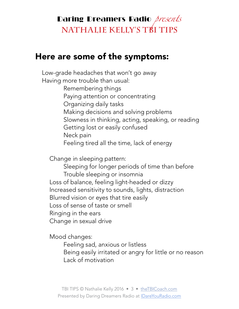#### Here are some of the symptoms:

 Low-grade headaches that won't go away Having more trouble than usual: Remembering things Paying attention or concentrating Organizing daily tasks Making decisions and solving problems Slowness in thinking, acting, speaking, or reading Getting lost or easily confused Neck pain Feeling tired all the time, lack of energy

Change in sleeping pattern:

 Sleeping for longer periods of time than before Trouble sleeping or insomnia Loss of balance, feeling light-headed or dizzy Increased sensitivity to sounds, lights, distraction Blurred vision or eyes that tire easily Loss of sense of taste or smell Ringing in the ears Change in sexual drive

Mood changes:

 Feeling sad, anxious or listless Being easily irritated or angry for little or no reason Lack of motivation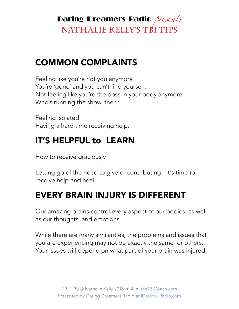#### COMMON COMPLAINTS

Feeling like you're not you anymore You're 'gone' and you can't find yourself. Not feeling like you're the boss in your body anymore. Who's running the show, then?

Feeling isolated Having a hard time receiving help.

#### IT'S HELPFUL to LEARN

How to receive graciously

Letting go of the need to give or contributing - it's time to receive help and heal!

#### EVERY BRAIN INJURY IS DIFFERENT

Our amazing brains control every aspect of our bodies, as well as our thoughts, and emotions.

While there are many similarities, the problems and issues that you are experiencing may not be exactly the same for others. Your issues will depend on what part of your brain was injured.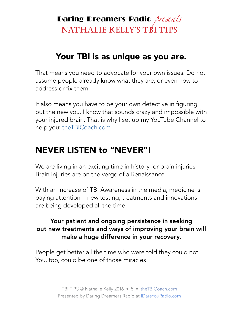#### Your TBI is as unique as you are.

That means you need to advocate for your own issues. Do not assume people already know what they are, or even how to address or fix them.

It also means you have to be your own detective in figuring out the new you. I know that sounds crazy and impossible with your injured brain. That is why I set up my YouTube Channel to help you: [theTBICoach.com](http://theTBICoach.com)

#### NEVER LISTEN to "NEVER"!

We are living in an exciting time in history for brain injuries. Brain injuries are on the verge of a Renaissance.

With an increase of TBI Awareness in the media, medicine is paying attention—new testing, treatments and innovations are being developed all the time.

#### Your patient and ongoing persistence in seeking out new treatments and ways of improving your brain will make a huge difference in your recovery.

People get better all the time who were told they could not. You, too, could be one of those miracles!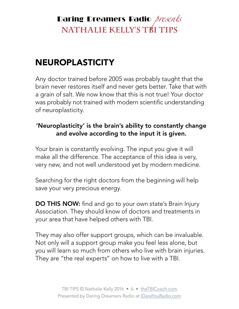## NEUROPLASTICITY

Any doctor trained before 2005 was probably taught that the brain never restores itself and never gets better. Take that with a grain of salt. We now know that this is not true! Your doctor was probably not trained with modern scientific understanding of neuroplasticity.

#### 'Neuroplasticity' is the brain's ability to constantly change and evolve according to the input it is given.

Your brain is constantly evolving. The input you give it will make all the difference. The acceptance of this idea is very, very new, and not well understood yet by modern medicine.

Searching for the right doctors from the beginning will help save your very precious energy.

DO THIS NOW: find and go to your own state's Brain Injury Association. They should know of doctors and treatments in your area that have helped others with TBI.

They may also offer support groups, which can be invaluable. Not only will a support group make you feel less alone, but you will learn so much from others who live with brain injuries. They are "the real experts" on how to live with a TBI.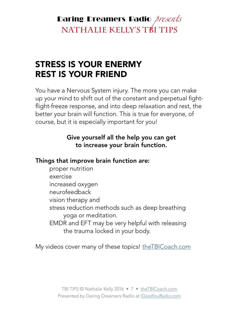#### STRESS IS YOUR ENERMY REST IS YOUR FRIEND

You have a Nervous System injury. The more you can make up your mind to shift out of the constant and perpetual fightflight-freeze response, and into deep relaxation and rest, the better your brain will function. This is true for everyone, of course, but it is especially important for you!

#### Give yourself all the help you can get to increase your brain function.

#### Things that improve brain function are:

proper nutrition exercise increased oxygen neurofeedback vision therapy and stress reduction methods such as deep breathing yoga or meditation. EMDR and EFT may be very helpful with releasing the trauma locked in your body.

My videos cover many of these topics! [theTBICoach.com](http://theTBICoach.com)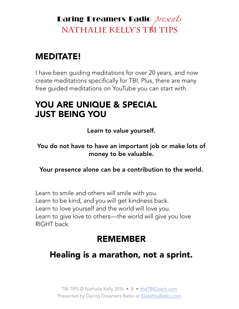### MEDITATE!

I have been guiding meditations for over 20 years, and now create meditations specifically for TBI. Plus, there are many free guided meditations on YouTube you can start with.

#### YOU ARE UNIQUE & SPECIAL JUST BEING YOU

Learn to value yourself.

You do not have to have an important job or make lots of money to be valuable.

Your presence alone can be a contribution to the world.

Learn to smile and others will smile with you. Learn to be kind, and you will get kindness back. Learn to love yourself and the world will love you. Learn to give love to others—the world will give you love RIGHT back.

#### REMEMBER

#### Healing is a marathon, not a sprint.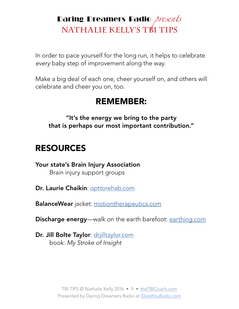In order to pace yourself for the long run, it helps to celebrate *every* baby step of improvement along the way.

Make a big deal of each one, cheer yourself on, and others will celebrate and cheer you on, too.

#### REMEMBER:

"It's the energy we bring to the party that is perhaps our most important contribution."

#### RESOURCES

Your state's Brain Injury Association Brain injury support groups

Dr. Laurie Chaikin: [opttorehab.com](http://opttorehab.com)

BalanceWear jacket: [motiontherapeutics.com](http://motiontherapeutics.com)

**Discharge energy**—walk on the earth barefoot: [earthing.com](http://earthing.com)

Dr. Jill Bolte Taylor: [drjilltaylor.com](http://drjilltaylor.com) book: *My Stroke of Insight*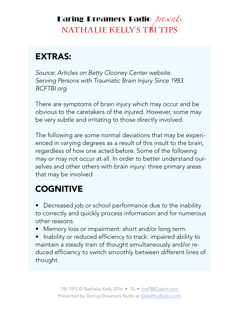## EXTRAS:

*Source: Articles on Betty Clooney Center website. Serving Persons with Traumatic Brain Injury Since 1983. BCFTBI.org* 

There are symptoms of brain injury which may occur and be obvious to the caretakers of the injured. However, some may be very subtle and irritating to those directly involved.

The following are some normal deviations that may be experienced in varying degrees as a result of this insult to the brain, regardless of how one acted before. Some of the following may or may not occur at all. In order to better understand ourselves and other others with brain injury: three primary areas that may be involved.

#### **COGNITIVE**

• Decreased job or school performance due to the inability to correctly and quickly process information and for numerous other reasons.

- Memory loss or impairment: short and/or long term.
- Inability or reduced efficiency to track: impaired ability to maintain a steady train of thought simultaneously and/or reduced efficiency to switch smoothly between different lines of thought.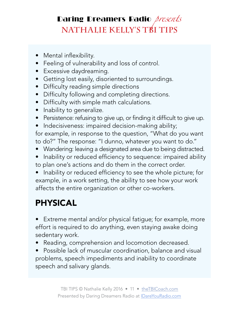- Mental inflexibility.
- Feeling of vulnerability and loss of control.
- Excessive daydreaming.
- Getting lost easily, disoriented to surroundings.
- Difficulty reading simple directions
- Difficulty following and completing directions.
- Difficulty with simple math calculations.
- Inability to generalize.
- Persistence: refusing to give up, or finding it difficult to give up.
- Indecisiveness: impaired decision-making ability;

for example, in response to the question, "What do you want to do?" The response: "I dunno, whatever you want to do."

- Wandering: leaving a designated area due to being distracted.
- Inability or reduced efficiency to sequence: impaired ability to plan one's actions and do them in the correct order.

• Inability or reduced efficiency to see the whole picture; for example, in a work setting, the ability to see how your work affects the entire organization or other co-workers.

## PHYSICAL

• Extreme mental and/or physical fatigue; for example, more effort is required to do anything, even staying awake doing sedentary work.

• Reading, comprehension and locomotion decreased.

• Possible lack of muscular coordination, balance and visual problems, speech impediments and inability to coordinate speech and salivary glands.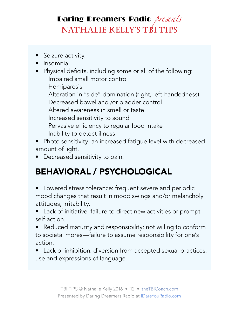- Seizure activity.
- Insomnia
- Physical deficits, including some or all of the following: Impaired small motor control Hemiparesis Alteration in "side" domination (right, left-handedness) Decreased bowel and /or bladder control Altered awareness in smell or taste Increased sensitivity to sound Pervasive efficiency to regular food intake Inability to detect illness
- Photo sensitivity: an increased fatigue level with decreased amount of light.
- Decreased sensitivity to pain.

## BEHAVIORAL / PSYCHOLOGICAL

- Lowered stress tolerance: frequent severe and periodic mood changes that result in mood swings and/or melancholy attitudes, irritability.
- Lack of initiative: failure to direct new activities or prompt self-action.
- Reduced maturity and responsibility: not willing to conform to societal mores—failure to assume responsibility for one's action.
- Lack of inhibition: diversion from accepted sexual practices, use and expressions of language.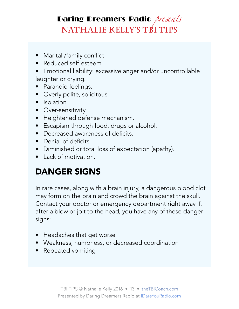- Marital /family conflict
- Reduced self-esteem.
- Emotional liability: excessive anger and/or uncontrollable laughter or crying.
- Paranoid feelings.
- Overly polite, solicitous.
- Isolation
- Over-sensitivity.
- Heightened defense mechanism.
- Escapism through food, drugs or alcohol.
- Decreased awareness of deficits.
- Denial of deficits.
- Diminished or total loss of expectation (apathy).
- Lack of motivation.

## DANGER SIGNS

In rare cases, along with a brain injury, a dangerous blood clot may form on the brain and crowd the brain against the skull. Contact your doctor or emergency department right away if, after a blow or jolt to the head, you have any of these danger signs:

- Headaches that get worse
- Weakness, numbness, or decreased coordination
- Repeated vomiting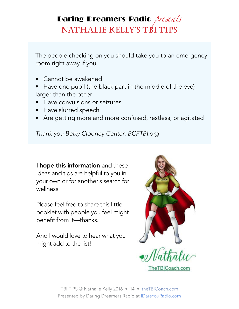The people checking on you should take you to an emergency room right away if you:

- Cannot be awakened
- Have one pupil (the black part in the middle of the eye) larger than the other
- Have convulsions or seizures
- Have slurred speech
- Are getting more and more confused, restless, or agitated

*Thank you Betty Clooney Center: BCFTBI.org*

I hope this information and these ideas and tips are helpful to you in your own or for another's search for wellness.

Please feel free to share this little booklet with people you feel might benefit from it—thanks.

And I would love to hear what you might add to the list!



TBI TIPS © Nathalie Kelly 2016 • 14 • [theTBICoach.com](http://theTBICoach.com) Presented by Daring Dreamers Radio at *IDareYouRadio.com*